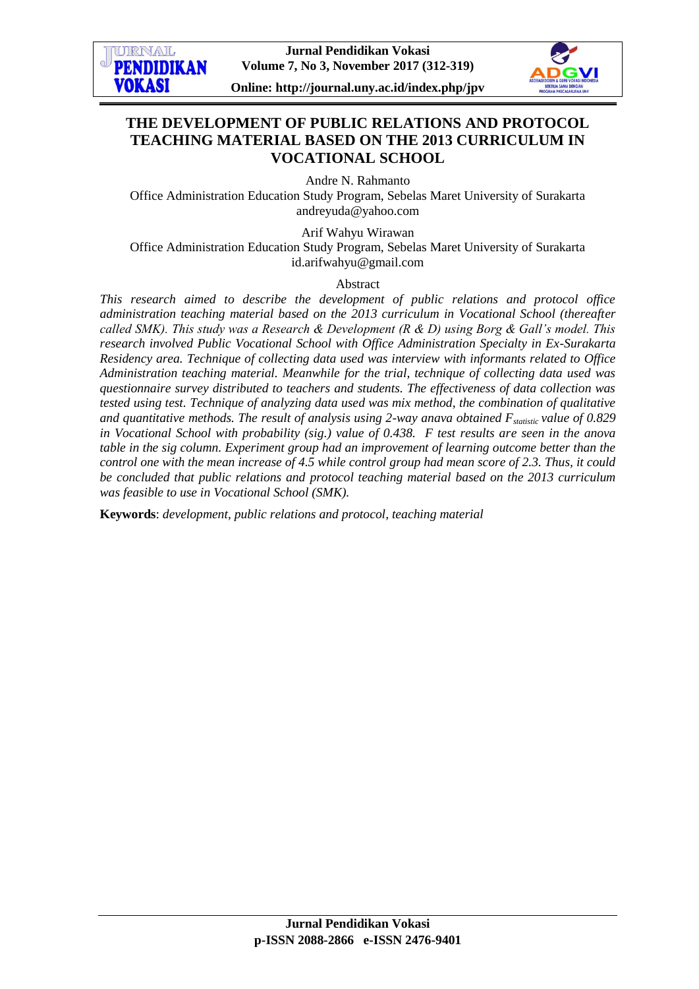

**Online: http://journal.uny.ac.id/index.php/jpv**



# **THE DEVELOPMENT OF PUBLIC RELATIONS AND PROTOCOL TEACHING MATERIAL BASED ON THE 2013 CURRICULUM IN VOCATIONAL SCHOOL**

Andre N. Rahmanto

Office Administration Education Study Program, Sebelas Maret University of Surakarta [andreyuda@yahoo.com](mailto:andreyuda@yahoo.com)

Arif Wahyu Wirawan

Office Administration Education Study Program, Sebelas Maret University of Surakarta [id.arifwahyu@gmail.com](mailto:id.arifwahyu@gmail.com)

Abstract

*This research aimed to describe the development of public relations and protocol office administration teaching material based on the 2013 curriculum in Vocational School (thereafter called SMK). This study was a Research & Development (R & D) using Borg & Gall's model. This research involved Public Vocational School with Office Administration Specialty in Ex-Surakarta Residency area. Technique of collecting data used was interview with informants related to Office Administration teaching material. Meanwhile for the trial, technique of collecting data used was questionnaire survey distributed to teachers and students. The effectiveness of data collection was tested using test. Technique of analyzing data used was mix method, the combination of qualitative and quantitative methods. The result of analysis using 2-way anava obtained Fstatistic value of 0.829 in Vocational School with probability (sig.) value of 0.438. F test results are seen in the anova table in the sig column. Experiment group had an improvement of learning outcome better than the control one with the mean increase of 4.5 while control group had mean score of 2.3. Thus, it could be concluded that public relations and protocol teaching material based on the 2013 curriculum was feasible to use in Vocational School (SMK).*

**Keywords**: *development, public relations and protocol, teaching material*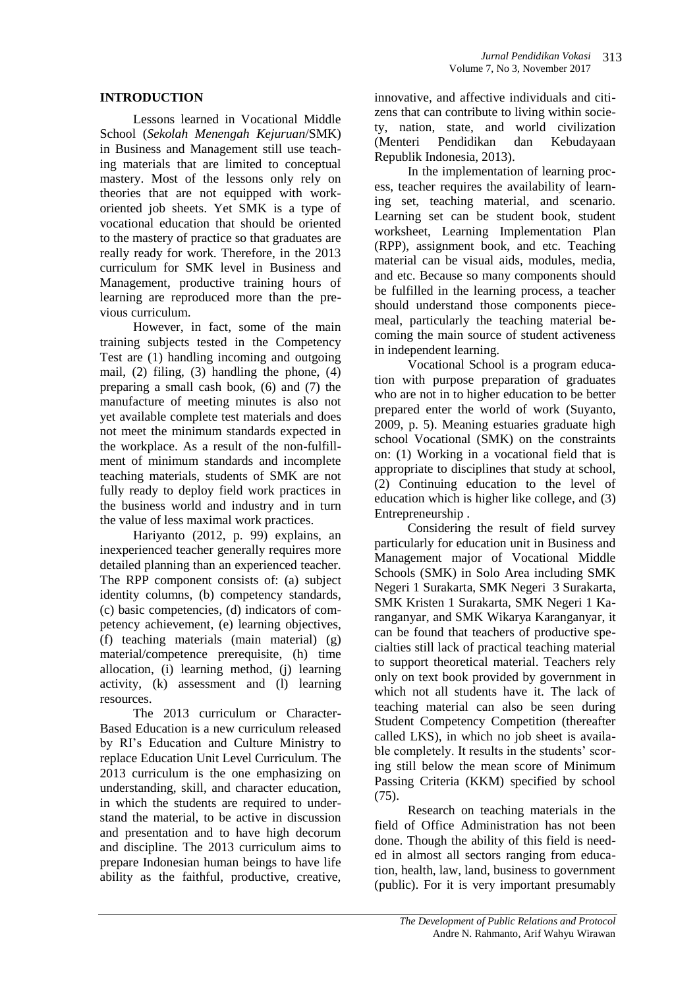#### **INTRODUCTION**

Lessons learned in Vocational Middle School (*Sekolah Menengah Kejuruan*/SMK) in Business and Management still use teaching materials that are limited to conceptual mastery. Most of the lessons only rely on theories that are not equipped with workoriented job sheets. Yet SMK is a type of vocational education that should be oriented to the mastery of practice so that graduates are really ready for work. Therefore, in the 2013 curriculum for SMK level in Business and Management, productive training hours of learning are reproduced more than the previous curriculum.

However, in fact, some of the main training subjects tested in the Competency Test are (1) handling incoming and outgoing mail, (2) filing, (3) handling the phone, (4) preparing a small cash book, (6) and (7) the manufacture of meeting minutes is also not yet available complete test materials and does not meet the minimum standards expected in the workplace. As a result of the non-fulfillment of minimum standards and incomplete teaching materials, students of SMK are not fully ready to deploy field work practices in the business world and industry and in turn the value of less maximal work practices.

Hariyanto (2012, p. 99) explains, an inexperienced teacher generally requires more detailed planning than an experienced teacher. The RPP component consists of: (a) subject identity columns, (b) competency standards, (c) basic competencies, (d) indicators of competency achievement, (e) learning objectives, (f) teaching materials (main material) (g) material/competence prerequisite, (h) time allocation, (i) learning method, (j) learning activity, (k) assessment and (l) learning resources.

The 2013 curriculum or Character-Based Education is a new curriculum released by RI's Education and Culture Ministry to replace Education Unit Level Curriculum. The 2013 curriculum is the one emphasizing on understanding, skill, and character education, in which the students are required to understand the material, to be active in discussion and presentation and to have high decorum and discipline. The 2013 curriculum aims to prepare Indonesian human beings to have life ability as the faithful, productive, creative,

innovative, and affective individuals and citizens that can contribute to living within society, nation, state, and world civilization (Menteri Pendidikan dan Kebudayaan Republik Indonesia, 2013).

In the implementation of learning process, teacher requires the availability of learning set, teaching material, and scenario. Learning set can be student book, student worksheet, Learning Implementation Plan (RPP), assignment book, and etc. Teaching material can be visual aids, modules, media, and etc. Because so many components should be fulfilled in the learning process, a teacher should understand those components piecemeal, particularly the teaching material becoming the main source of student activeness in independent learning.

Vocational School is a program education with purpose preparation of graduates who are not in to higher education to be better prepared enter the world of work (Suyanto, 2009, p. 5). Meaning estuaries graduate high school Vocational (SMK) on the constraints on: (1) Working in a vocational field that is appropriate to disciplines that study at school, (2) Continuing education to the level of education which is higher like college, and (3) Entrepreneurship .

Considering the result of field survey particularly for education unit in Business and Management major of Vocational Middle Schools (SMK) in Solo Area including SMK Negeri 1 Surakarta, SMK Negeri 3 Surakarta, SMK Kristen 1 Surakarta, SMK Negeri 1 Karanganyar, and SMK Wikarya Karanganyar, it can be found that teachers of productive specialties still lack of practical teaching material to support theoretical material. Teachers rely only on text book provided by government in which not all students have it. The lack of teaching material can also be seen during Student Competency Competition (thereafter called LKS), in which no job sheet is available completely. It results in the students' scoring still below the mean score of Minimum Passing Criteria (KKM) specified by school (75).

Research on teaching materials in the field of Office Administration has not been done. Though the ability of this field is needed in almost all sectors ranging from education, health, law, land, business to government (public). For it is very important presumably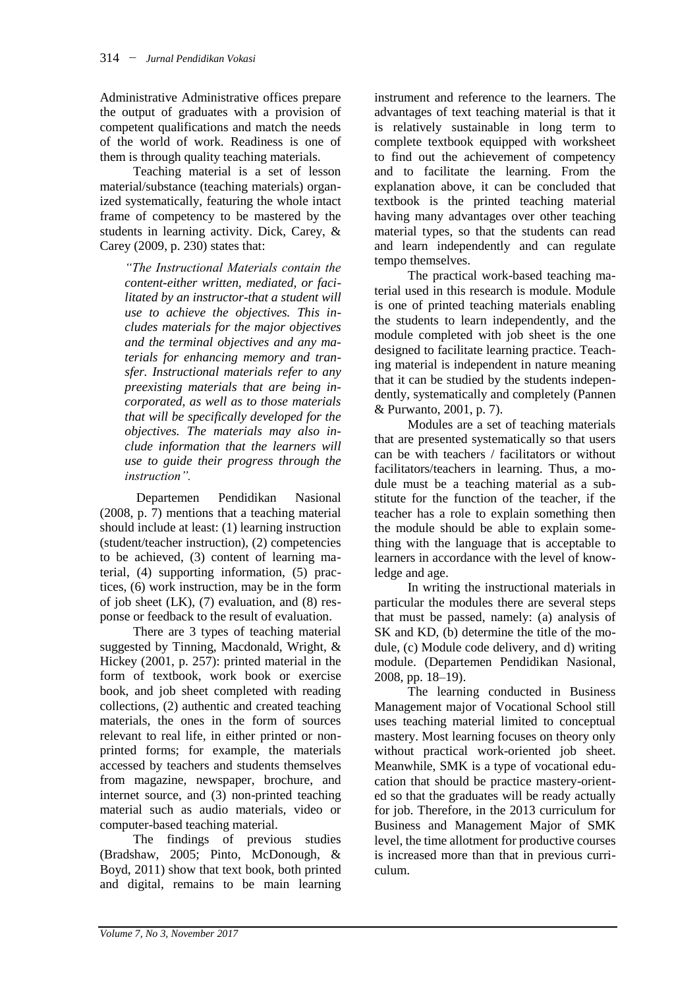Administrative Administrative offices prepare the output of graduates with a provision of competent qualifications and match the needs of the world of work. Readiness is one of them is through quality teaching materials.

Teaching material is a set of lesson material/substance (teaching materials) organized systematically, featuring the whole intact frame of competency to be mastered by the students in learning activity. Dick, Carey, & Carey (2009, p. 230) states that:

*"The Instructional Materials contain the content-either written, mediated, or facilitated by an instructor-that a student will use to achieve the objectives. This includes materials for the major objectives and the terminal objectives and any materials for enhancing memory and transfer. Instructional materials refer to any preexisting materials that are being incorporated, as well as to those materials that will be specifically developed for the objectives. The materials may also include information that the learners will use to guide their progress through the instruction".*

Departemen Pendidikan Nasional (2008, p. 7) mentions that a teaching material should include at least: (1) learning instruction (student/teacher instruction), (2) competencies to be achieved, (3) content of learning material, (4) supporting information, (5) practices, (6) work instruction, may be in the form of job sheet (LK), (7) evaluation, and (8) response or feedback to the result of evaluation.

There are 3 types of teaching material suggested by Tinning, Macdonald, Wright, & Hickey (2001, p. 257): printed material in the form of textbook, work book or exercise book, and job sheet completed with reading collections, (2) authentic and created teaching materials, the ones in the form of sources relevant to real life, in either printed or nonprinted forms; for example, the materials accessed by teachers and students themselves from magazine, newspaper, brochure, and internet source, and (3) non-printed teaching material such as audio materials, video or computer-based teaching material.

The findings of previous studies (Bradshaw, 2005; Pinto, McDonough, & Boyd, 2011) show that text book, both printed and digital, remains to be main learning

instrument and reference to the learners. The advantages of text teaching material is that it is relatively sustainable in long term to complete textbook equipped with worksheet to find out the achievement of competency and to facilitate the learning. From the explanation above, it can be concluded that textbook is the printed teaching material having many advantages over other teaching material types, so that the students can read and learn independently and can regulate tempo themselves.

The practical work-based teaching material used in this research is module. Module is one of printed teaching materials enabling the students to learn independently, and the module completed with job sheet is the one designed to facilitate learning practice. Teaching material is independent in nature meaning that it can be studied by the students independently, systematically and completely (Pannen & Purwanto, 2001, p. 7).

Modules are a set of teaching materials that are presented systematically so that users can be with teachers / facilitators or without facilitators/teachers in learning. Thus, a module must be a teaching material as a substitute for the function of the teacher, if the teacher has a role to explain something then the module should be able to explain something with the language that is acceptable to learners in accordance with the level of knowledge and age.

In writing the instructional materials in particular the modules there are several steps that must be passed, namely: (a) analysis of SK and KD, (b) determine the title of the module, (c) Module code delivery, and d) writing module. (Departemen Pendidikan Nasional, 2008, pp. 18–19).

The learning conducted in Business Management major of Vocational School still uses teaching material limited to conceptual mastery. Most learning focuses on theory only without practical work-oriented job sheet. Meanwhile, SMK is a type of vocational education that should be practice mastery-oriented so that the graduates will be ready actually for job. Therefore, in the 2013 curriculum for Business and Management Major of SMK level, the time allotment for productive courses is increased more than that in previous curriculum.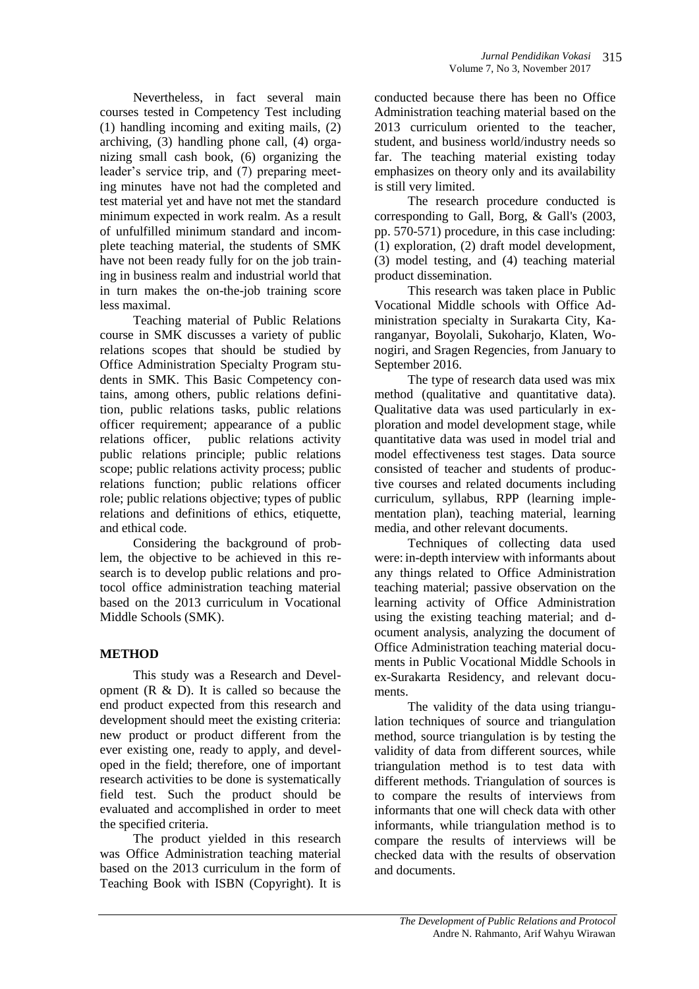Nevertheless, in fact several main courses tested in Competency Test including (1) handling incoming and exiting mails, (2) archiving, (3) handling phone call, (4) organizing small cash book, (6) organizing the leader's service trip, and (7) preparing meeting minutes have not had the completed and test material yet and have not met the standard minimum expected in work realm. As a result of unfulfilled minimum standard and incomplete teaching material, the students of SMK have not been ready fully for on the job training in business realm and industrial world that in turn makes the on-the-job training score less maximal.

Teaching material of Public Relations course in SMK discusses a variety of public relations scopes that should be studied by Office Administration Specialty Program students in SMK. This Basic Competency contains, among others, public relations definition, public relations tasks, public relations officer requirement; appearance of a public relations officer, public relations activity public relations principle; public relations scope; public relations activity process; public relations function; public relations officer role; public relations objective; types of public relations and definitions of ethics, etiquette, and ethical code.

Considering the background of problem, the objective to be achieved in this research is to develop public relations and protocol office administration teaching material based on the 2013 curriculum in Vocational Middle Schools (SMK).

# **METHOD**

This study was a Research and Development  $(R \& D)$ . It is called so because the end product expected from this research and development should meet the existing criteria: new product or product different from the ever existing one, ready to apply, and developed in the field; therefore, one of important research activities to be done is systematically field test. Such the product should be evaluated and accomplished in order to meet the specified criteria.

The product yielded in this research was Office Administration teaching material based on the 2013 curriculum in the form of Teaching Book with ISBN (Copyright). It is

conducted because there has been no Office Administration teaching material based on the 2013 curriculum oriented to the teacher, student, and business world/industry needs so far. The teaching material existing today emphasizes on theory only and its availability is still very limited.

The research procedure conducted is corresponding to Gall, Borg, & Gall's (2003, pp. 570-571) procedure, in this case including: (1) exploration, (2) draft model development, (3) model testing, and (4) teaching material product dissemination.

This research was taken place in Public Vocational Middle schools with Office Administration specialty in Surakarta City, Karanganyar, Boyolali, Sukoharjo, Klaten, Wonogiri, and Sragen Regencies, from January to September 2016.

The type of research data used was mix method (qualitative and quantitative data). Qualitative data was used particularly in exploration and model development stage, while quantitative data was used in model trial and model effectiveness test stages. Data source consisted of teacher and students of productive courses and related documents including curriculum, syllabus, RPP (learning implementation plan), teaching material, learning media, and other relevant documents.

Techniques of collecting data used were: in-depth interview with informants about any things related to Office Administration teaching material; passive observation on the learning activity of Office Administration using the existing teaching material; and document analysis, analyzing the document of Office Administration teaching material documents in Public Vocational Middle Schools in ex-Surakarta Residency, and relevant documents.

The validity of the data using triangulation techniques of source and triangulation method, source triangulation is by testing the validity of data from different sources, while triangulation method is to test data with different methods. Triangulation of sources is to compare the results of interviews from informants that one will check data with other informants, while triangulation method is to compare the results of interviews will be checked data with the results of observation and documents.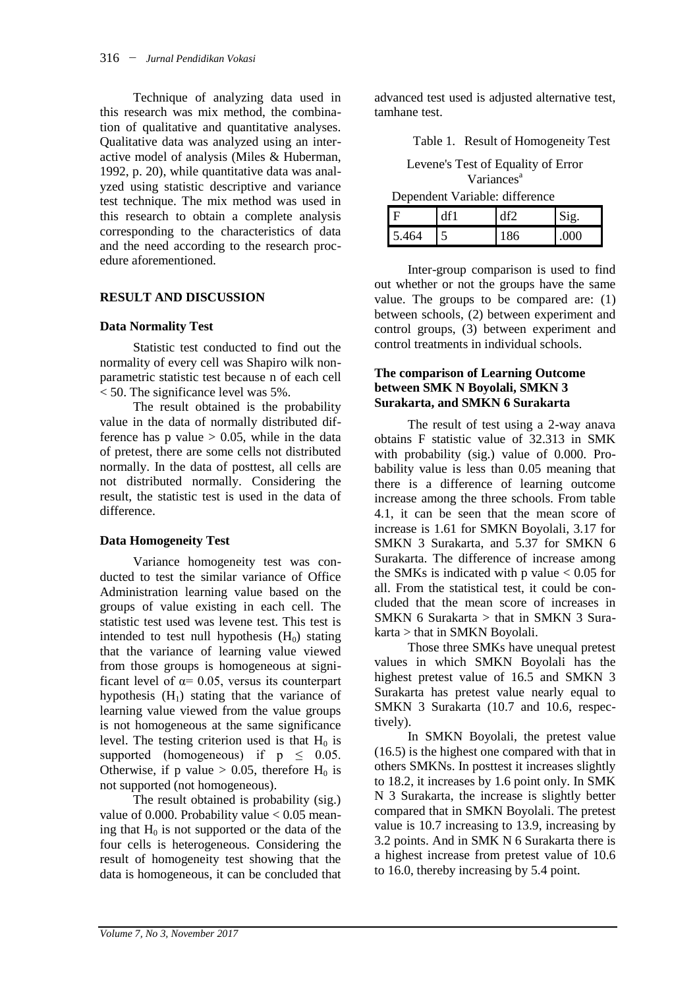Technique of analyzing data used in this research was mix method, the combination of qualitative and quantitative analyses. Qualitative data was analyzed using an interactive model of analysis (Miles & Huberman, 1992, p. 20), while quantitative data was analyzed using statistic descriptive and variance test technique. The mix method was used in this research to obtain a complete analysis corresponding to the characteristics of data and the need according to the research procedure aforementioned.

# **RESULT AND DISCUSSION**

# **Data Normality Test**

Statistic test conducted to find out the normality of every cell was Shapiro wilk nonparametric statistic test because n of each cell  $<$  50. The significance level was 5%.

The result obtained is the probability value in the data of normally distributed difference has p value  $> 0.05$ , while in the data of pretest, there are some cells not distributed normally. In the data of posttest, all cells are not distributed normally. Considering the result, the statistic test is used in the data of difference.

# **Data Homogeneity Test**

Variance homogeneity test was conducted to test the similar variance of Office Administration learning value based on the groups of value existing in each cell. The statistic test used was levene test. This test is intended to test null hypothesis  $(H_0)$  stating that the variance of learning value viewed from those groups is homogeneous at significant level of  $\alpha$ = 0.05, versus its counterpart hypothesis  $(H_1)$  stating that the variance of learning value viewed from the value groups is not homogeneous at the same significance level. The testing criterion used is that  $H_0$  is supported (homogeneous) if  $p \leq 0.05$ . Otherwise, if p value  $> 0.05$ , therefore H<sub>0</sub> is not supported (not homogeneous).

The result obtained is probability (sig.) value of 0.000. Probability value  $< 0.05$  meaning that  $H_0$  is not supported or the data of the four cells is heterogeneous. Considering the result of homogeneity test showing that the data is homogeneous, it can be concluded that

advanced test used is adjusted alternative test, tamhane test.

Table 1. Result of Homogeneity Test

Levene's Test of Equality of Error Variances<sup>a</sup>

| Dependent Variable: difference |     |     |      |  |  |
|--------------------------------|-----|-----|------|--|--|
|                                | df1 |     | Sig. |  |  |
| 5.464                          |     | 186 |      |  |  |

Inter-group comparison is used to find out whether or not the groups have the same value. The groups to be compared are: (1) between schools, (2) between experiment and control groups, (3) between experiment and control treatments in individual schools.

#### **The comparison of Learning Outcome between SMK N Boyolali, SMKN 3 Surakarta, and SMKN 6 Surakarta**

The result of test using a 2-way anava obtains F statistic value of 32.313 in SMK with probability (sig.) value of 0.000. Probability value is less than 0.05 meaning that there is a difference of learning outcome increase among the three schools. From table 4.1, it can be seen that the mean score of increase is 1.61 for SMKN Boyolali, 3.17 for SMKN 3 Surakarta, and 5.37 for SMKN 6 Surakarta. The difference of increase among the SMKs is indicated with p value  $< 0.05$  for all. From the statistical test, it could be concluded that the mean score of increases in SMKN 6 Surakarta  $>$  that in SMKN 3 Surakarta > that in SMKN Boyolali.

Those three SMKs have unequal pretest values in which SMKN Boyolali has the highest pretest value of 16.5 and SMKN 3 Surakarta has pretest value nearly equal to SMKN 3 Surakarta (10.7 and 10.6, respectively).

In SMKN Boyolali, the pretest value (16.5) is the highest one compared with that in others SMKNs. In posttest it increases slightly to 18.2, it increases by 1.6 point only. In SMK N 3 Surakarta, the increase is slightly better compared that in SMKN Boyolali. The pretest value is 10.7 increasing to 13.9, increasing by 3.2 points. And in SMK N 6 Surakarta there is a highest increase from pretest value of 10.6 to 16.0, thereby increasing by 5.4 point.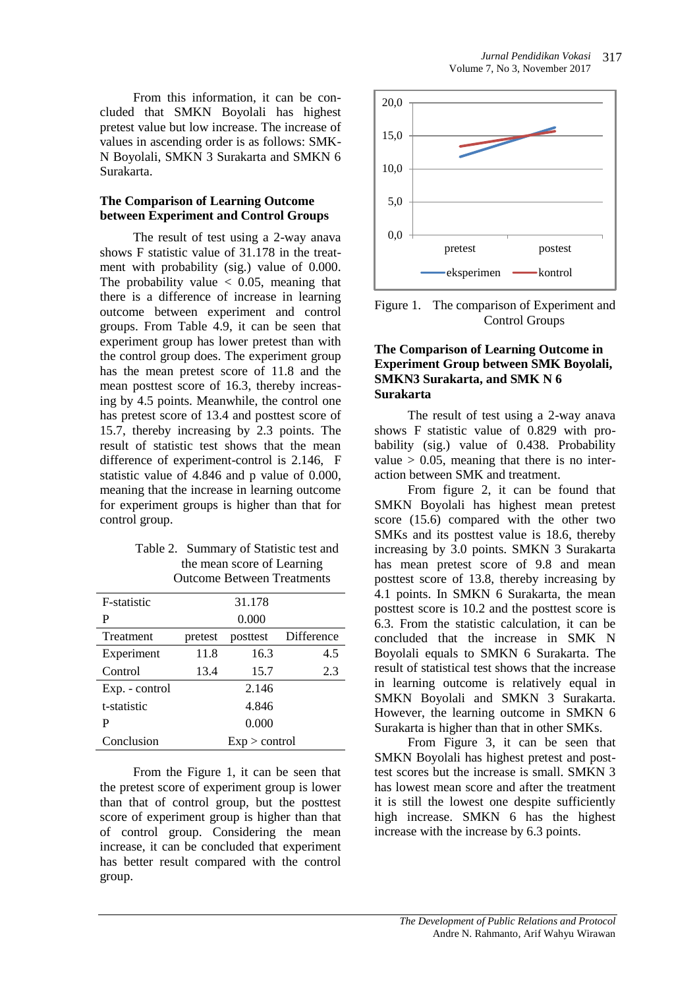From this information, it can be concluded that SMKN Boyolali has highest pretest value but low increase. The increase of values in ascending order is as follows: SMK-N Boyolali, SMKN 3 Surakarta and SMKN 6 Surakarta.

### **The Comparison of Learning Outcome between Experiment and Control Groups**

The result of test using a 2-way anava shows F statistic value of 31.178 in the treatment with probability (sig.) value of 0.000. The probability value  $\langle 0.05, \text{ meaning that} \rangle$ there is a difference of increase in learning outcome between experiment and control groups. From Table 4.9, it can be seen that experiment group has lower pretest than with the control group does. The experiment group has the mean pretest score of 11.8 and the mean posttest score of 16.3, thereby increasing by 4.5 points. Meanwhile, the control one has pretest score of 13.4 and posttest score of 15.7, thereby increasing by 2.3 points. The result of statistic test shows that the mean difference of experiment-control is 2.146, F statistic value of 4.846 and p value of 0.000, meaning that the increase in learning outcome for experiment groups is higher than that for control group.

| Table 2. Summary of Statistic test and |
|----------------------------------------|
| the mean score of Learning             |
| <b>Outcome Between Treatments</b>      |

| <b>F</b> -statistic |                 | 31.178   |            |  |
|---------------------|-----------------|----------|------------|--|
| P                   |                 | 0.000    |            |  |
| Treatment           | pretest         | posttest | Difference |  |
| Experiment          | 11.8            | 16.3     | 4.5        |  |
| Control             | 13.4            | 15.7     | 2.3        |  |
| Exp. - control      |                 | 2.146    |            |  |
| t-statistic         | 4.846           |          |            |  |
| P                   |                 | 0.000    |            |  |
| Conclusion          | $Exp >$ control |          |            |  |

From the Figure 1, it can be seen that the pretest score of experiment group is lower than that of control group, but the posttest score of experiment group is higher than that of control group. Considering the mean increase, it can be concluded that experiment has better result compared with the control group.



Figure 1. The comparison of Experiment and Control Groups

### **The Comparison of Learning Outcome in Experiment Group between SMK Boyolali, SMKN3 Surakarta, and SMK N 6 Surakarta**

The result of test using a 2-way anava shows F statistic value of 0.829 with probability (sig.) value of 0.438. Probability value  $> 0.05$ , meaning that there is no interaction between SMK and treatment.

From figure 2, it can be found that SMKN Boyolali has highest mean pretest score (15.6) compared with the other two SMKs and its posttest value is 18.6, thereby increasing by 3.0 points. SMKN 3 Surakarta has mean pretest score of 9.8 and mean posttest score of 13.8, thereby increasing by 4.1 points. In SMKN 6 Surakarta, the mean posttest score is 10.2 and the posttest score is 6.3. From the statistic calculation, it can be concluded that the increase in SMK N Boyolali equals to SMKN 6 Surakarta. The result of statistical test shows that the increase in learning outcome is relatively equal in SMKN Boyolali and SMKN 3 Surakarta. However, the learning outcome in SMKN 6 Surakarta is higher than that in other SMKs.

From Figure 3, it can be seen that SMKN Boyolali has highest pretest and posttest scores but the increase is small. SMKN 3 has lowest mean score and after the treatment it is still the lowest one despite sufficiently high increase. SMKN 6 has the highest increase with the increase by 6.3 points.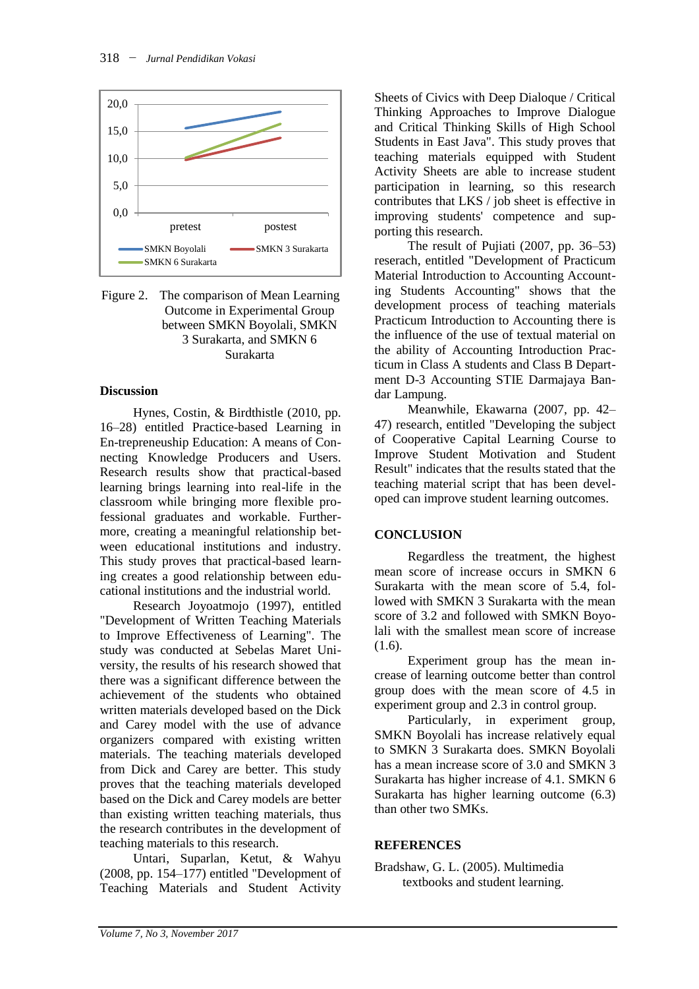

Figure 2. The comparison of Mean Learning Outcome in Experimental Group between SMKN Boyolali, SMKN 3 Surakarta, and SMKN 6 Surakarta

### **Discussion**

Hynes, Costin, & Birdthistle (2010, pp. 16–28) entitled Practice-based Learning in En-trepreneuship Education: A means of Connecting Knowledge Producers and Users. Research results show that practical-based learning brings learning into real-life in the classroom while bringing more flexible professional graduates and workable. Furthermore, creating a meaningful relationship between educational institutions and industry. This study proves that practical-based learning creates a good relationship between educational institutions and the industrial world.

Research Joyoatmojo (1997), entitled "Development of Written Teaching Materials to Improve Effectiveness of Learning". The study was conducted at Sebelas Maret University, the results of his research showed that there was a significant difference between the achievement of the students who obtained written materials developed based on the Dick and Carey model with the use of advance organizers compared with existing written materials. The teaching materials developed from Dick and Carey are better. This study proves that the teaching materials developed based on the Dick and Carey models are better than existing written teaching materials, thus the research contributes in the development of teaching materials to this research.

Untari, Suparlan, Ketut, & Wahyu (2008, pp. 154–177) entitled "Development of Teaching Materials and Student Activity Sheets of Civics with Deep Dialoque / Critical Thinking Approaches to Improve Dialogue and Critical Thinking Skills of High School Students in East Java". This study proves that teaching materials equipped with Student Activity Sheets are able to increase student participation in learning, so this research contributes that LKS / job sheet is effective in improving students' competence and supporting this research.

The result of Pujiati (2007, pp. 36–53) reserach, entitled "Development of Practicum Material Introduction to Accounting Accounting Students Accounting" shows that the development process of teaching materials Practicum Introduction to Accounting there is the influence of the use of textual material on the ability of Accounting Introduction Practicum in Class A students and Class B Department D-3 Accounting STIE Darmajaya Bandar Lampung.

Meanwhile, Ekawarna (2007, pp. 42– 47) research, entitled "Developing the subject of Cooperative Capital Learning Course to Improve Student Motivation and Student Result" indicates that the results stated that the teaching material script that has been developed can improve student learning outcomes.

# **CONCLUSION**

Regardless the treatment, the highest mean score of increase occurs in SMKN 6 Surakarta with the mean score of 5.4, followed with SMKN 3 Surakarta with the mean score of 3.2 and followed with SMKN Boyolali with the smallest mean score of increase (1.6).

Experiment group has the mean increase of learning outcome better than control group does with the mean score of 4.5 in experiment group and 2.3 in control group.

Particularly, in experiment group, SMKN Boyolali has increase relatively equal to SMKN 3 Surakarta does. SMKN Boyolali has a mean increase score of 3.0 and SMKN 3 Surakarta has higher increase of 4.1. SMKN 6 Surakarta has higher learning outcome (6.3) than other two SMKs.

# **REFERENCES**

Bradshaw, G. L. (2005). Multimedia textbooks and student learning.